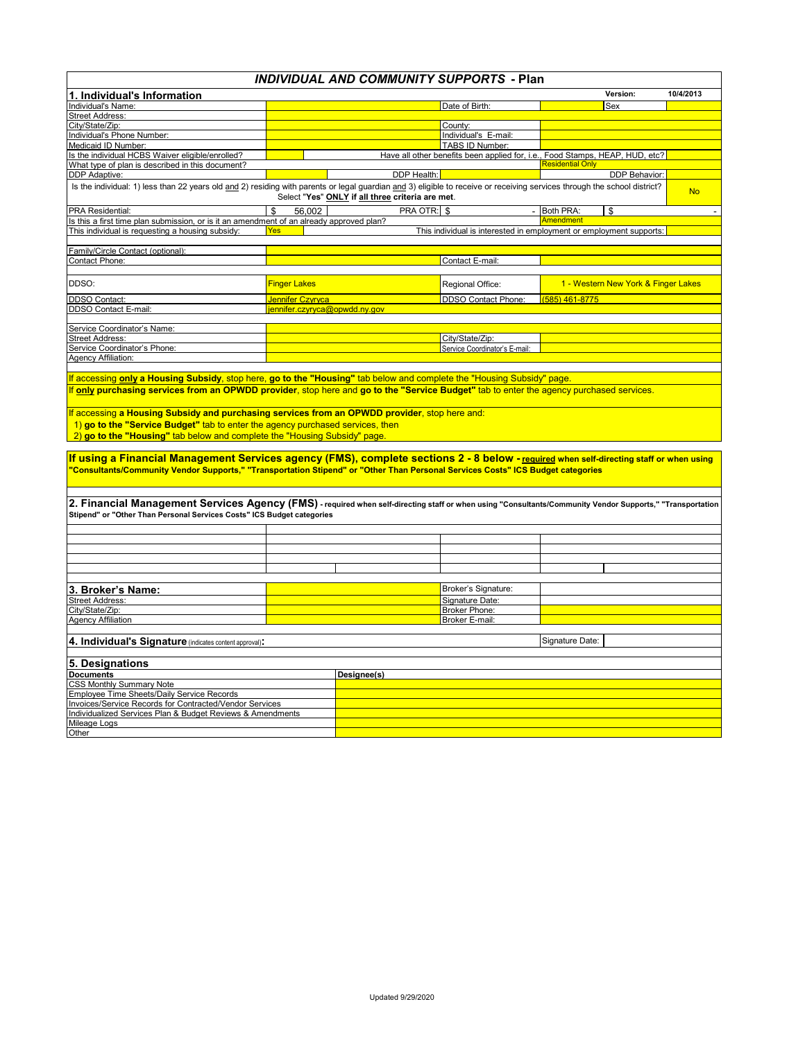## *INDIVIDUAL AND COMMUNITY SUPPORTS* **- Plan**

| 1. Individual's Information                                                                                                                                                                                                                                                |                              |                                                  |                                                                                                 |                  | Version:                            | 10/4/2013 |
|----------------------------------------------------------------------------------------------------------------------------------------------------------------------------------------------------------------------------------------------------------------------------|------------------------------|--------------------------------------------------|-------------------------------------------------------------------------------------------------|------------------|-------------------------------------|-----------|
| Individual's Name:                                                                                                                                                                                                                                                         |                              |                                                  | Date of Birth:                                                                                  |                  | Sex                                 |           |
| <b>Street Address:</b>                                                                                                                                                                                                                                                     |                              |                                                  |                                                                                                 |                  |                                     |           |
| City/State/Zip:                                                                                                                                                                                                                                                            |                              |                                                  | County:                                                                                         |                  |                                     |           |
| Individual's Phone Number:                                                                                                                                                                                                                                                 |                              |                                                  | Individual's E-mail:                                                                            |                  |                                     |           |
| Medicaid ID Number:<br>Is the individual HCBS Waiver eligible/enrolled?                                                                                                                                                                                                    |                              |                                                  | TABS ID Number:<br>Have all other benefits been applied for, i.e., Food Stamps, HEAP, HUD, etc? |                  |                                     |           |
| What type of plan is described in this document?                                                                                                                                                                                                                           |                              |                                                  |                                                                                                 | Residential On   |                                     |           |
| DDP Adaptive:                                                                                                                                                                                                                                                              |                              | DDP Health:                                      |                                                                                                 |                  | DDP Behavior:                       |           |
| Is the individual: 1) less than 22 years old and 2) residing with parents or legal guardian and 3) eligible to receive or receiving services through the school district?                                                                                                  |                              |                                                  |                                                                                                 |                  |                                     |           |
|                                                                                                                                                                                                                                                                            |                              | Select "Yes" ONLY if all three criteria are met. |                                                                                                 |                  |                                     | <b>No</b> |
| PRA Residential:                                                                                                                                                                                                                                                           | 56.002<br>\$                 | PRA OTR: \$                                      |                                                                                                 | - Both PRA:      | \$                                  |           |
| Is this a first time plan submission, or is it an amendment of an already approved plan?                                                                                                                                                                                   |                              |                                                  |                                                                                                 | <b>Amendment</b> |                                     |           |
| This individual is requesting a housing subsidy:                                                                                                                                                                                                                           | <b>Yes</b>                   |                                                  | This individual is interested in employment or employment supports:                             |                  |                                     |           |
|                                                                                                                                                                                                                                                                            |                              |                                                  |                                                                                                 |                  |                                     |           |
| Family/Circle Contact (optional):                                                                                                                                                                                                                                          |                              |                                                  |                                                                                                 |                  |                                     |           |
| Contact Phone:                                                                                                                                                                                                                                                             |                              |                                                  | Contact E-mail:                                                                                 |                  |                                     |           |
|                                                                                                                                                                                                                                                                            |                              |                                                  |                                                                                                 |                  |                                     |           |
| DDSO:                                                                                                                                                                                                                                                                      | <b>Finger Lakes</b>          |                                                  | Regional Office:                                                                                |                  | 1 - Western New York & Finger Lakes |           |
| <b>DDSO Contact:</b>                                                                                                                                                                                                                                                       | Jennifer Czyryca             |                                                  | DDSO Contact Phone:                                                                             | (585) 461-8775   |                                     |           |
| DDSO Contact E-mail:                                                                                                                                                                                                                                                       | ennifer.czyryca@opwdd.ny.gov |                                                  |                                                                                                 |                  |                                     |           |
|                                                                                                                                                                                                                                                                            |                              |                                                  |                                                                                                 |                  |                                     |           |
| Service Coordinator's Name:                                                                                                                                                                                                                                                |                              |                                                  |                                                                                                 |                  |                                     |           |
| <b>Street Address:</b><br>Service Coordinator's Phone:                                                                                                                                                                                                                     |                              |                                                  | City/State/Zip:<br>Service Coordinator's E-mail:                                                |                  |                                     |           |
| <b>Agency Affiliation:</b>                                                                                                                                                                                                                                                 |                              |                                                  |                                                                                                 |                  |                                     |           |
|                                                                                                                                                                                                                                                                            |                              |                                                  |                                                                                                 |                  |                                     |           |
| If accessing a Housing Subsidy and purchasing services from an OPWDD provider, stop here and:<br>1) go to the "Service Budget" tab to enter the agency purchased services, then<br>2) go to the "Housing" tab below and complete the "Housing Subsidy" page.               |                              |                                                  |                                                                                                 |                  |                                     |           |
| If using a Financial Management Services agency (FMS), complete sections 2 - 8 below - required when self-directing staff or when using<br>"Consultants/Community Vendor Supports," "Transportation Stipend" or "Other Than Personal Services Costs" ICS Budget categories |                              |                                                  |                                                                                                 |                  |                                     |           |
| 2. Financial Management Services Agency (FMS) - required when self-directing staff or when using "Consultants/Community Vendor Supports," "Transportation<br>Stipend" or "Other Than Personal Services Costs" ICS Budget categories                                        |                              |                                                  |                                                                                                 |                  |                                     |           |
|                                                                                                                                                                                                                                                                            |                              |                                                  |                                                                                                 |                  |                                     |           |
|                                                                                                                                                                                                                                                                            |                              |                                                  |                                                                                                 |                  |                                     |           |
|                                                                                                                                                                                                                                                                            |                              |                                                  |                                                                                                 |                  |                                     |           |
|                                                                                                                                                                                                                                                                            |                              |                                                  |                                                                                                 |                  |                                     |           |
|                                                                                                                                                                                                                                                                            |                              |                                                  |                                                                                                 |                  |                                     |           |
| 3. Broker's Name:                                                                                                                                                                                                                                                          |                              |                                                  | Broker's Signature:                                                                             |                  |                                     |           |
| Street Address:<br>City/State/Zip:                                                                                                                                                                                                                                         |                              |                                                  | Signature Date:                                                                                 |                  |                                     |           |
| <b>Agency Affiliation</b>                                                                                                                                                                                                                                                  |                              |                                                  | <b>Broker Phone:</b><br>Broker E-mail:                                                          |                  |                                     |           |
|                                                                                                                                                                                                                                                                            |                              |                                                  |                                                                                                 |                  |                                     |           |
| Signature Date:<br>4. Individual's Signature (indicates content approval):                                                                                                                                                                                                 |                              |                                                  |                                                                                                 |                  |                                     |           |
|                                                                                                                                                                                                                                                                            |                              |                                                  |                                                                                                 |                  |                                     |           |
| 5. Designations                                                                                                                                                                                                                                                            |                              |                                                  |                                                                                                 |                  |                                     |           |
| <b>Documents</b>                                                                                                                                                                                                                                                           |                              | Designee(s)                                      |                                                                                                 |                  |                                     |           |
| <b>CSS Monthly Summary Note</b>                                                                                                                                                                                                                                            |                              |                                                  |                                                                                                 |                  |                                     |           |
| Employee Time Sheets/Daily Service Records                                                                                                                                                                                                                                 |                              |                                                  |                                                                                                 |                  |                                     |           |
| Invoices/Service Records for Contracted/Vendor Services                                                                                                                                                                                                                    |                              |                                                  |                                                                                                 |                  |                                     |           |
| Individualized Services Plan & Budget Reviews & Amendments                                                                                                                                                                                                                 |                              |                                                  |                                                                                                 |                  |                                     |           |
| Mileage Logs                                                                                                                                                                                                                                                               |                              |                                                  |                                                                                                 |                  |                                     |           |
| Other                                                                                                                                                                                                                                                                      |                              |                                                  |                                                                                                 |                  |                                     |           |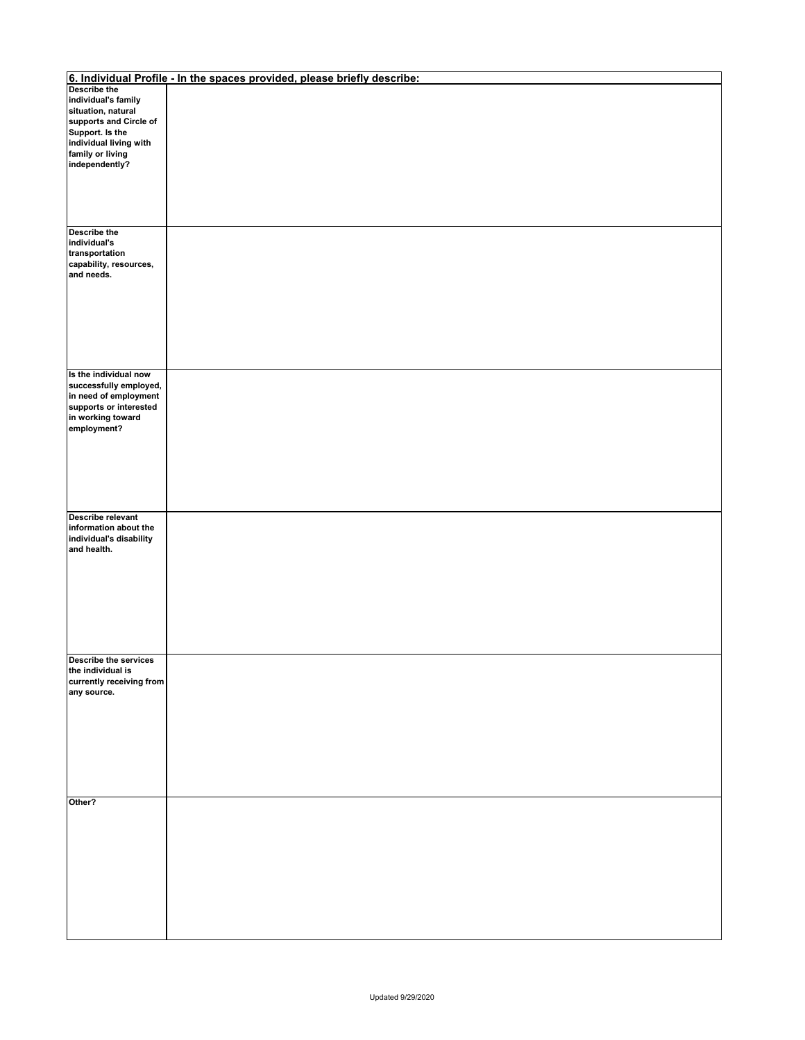|                                           | 6. Individual Profile - In the spaces provided, please briefly describe: |
|-------------------------------------------|--------------------------------------------------------------------------|
| Describe the                              |                                                                          |
| individual's family                       |                                                                          |
| situation, natural                        |                                                                          |
| supports and Circle of                    |                                                                          |
| Support. Is the<br>individual living with |                                                                          |
| family or living                          |                                                                          |
| independently?                            |                                                                          |
|                                           |                                                                          |
|                                           |                                                                          |
|                                           |                                                                          |
|                                           |                                                                          |
|                                           |                                                                          |
| Describe the                              |                                                                          |
| individual's                              |                                                                          |
| transportation                            |                                                                          |
| capability, resources,<br>and needs.      |                                                                          |
|                                           |                                                                          |
|                                           |                                                                          |
|                                           |                                                                          |
|                                           |                                                                          |
|                                           |                                                                          |
|                                           |                                                                          |
|                                           |                                                                          |
|                                           |                                                                          |
| Is the individual now                     |                                                                          |
| successfully employed,                    |                                                                          |
| in need of employment                     |                                                                          |
| supports or interested                    |                                                                          |
| in working toward<br>employment?          |                                                                          |
|                                           |                                                                          |
|                                           |                                                                          |
|                                           |                                                                          |
|                                           |                                                                          |
|                                           |                                                                          |
|                                           |                                                                          |
|                                           |                                                                          |
| Describe relevant                         |                                                                          |
| information about the                     |                                                                          |
| individual's disability                   |                                                                          |
| and health.                               |                                                                          |
|                                           |                                                                          |
|                                           |                                                                          |
|                                           |                                                                          |
|                                           |                                                                          |
|                                           |                                                                          |
|                                           |                                                                          |
|                                           |                                                                          |
|                                           |                                                                          |
| <b>Describe the services</b>              |                                                                          |
| the individual is                         |                                                                          |
| currently receiving from                  |                                                                          |
| any source.                               |                                                                          |
|                                           |                                                                          |
|                                           |                                                                          |
|                                           |                                                                          |
|                                           |                                                                          |
|                                           |                                                                          |
|                                           |                                                                          |
|                                           |                                                                          |
|                                           |                                                                          |
| Other?                                    |                                                                          |
|                                           |                                                                          |
|                                           |                                                                          |
|                                           |                                                                          |
|                                           |                                                                          |
|                                           |                                                                          |
|                                           |                                                                          |
|                                           |                                                                          |
|                                           |                                                                          |
|                                           |                                                                          |
|                                           |                                                                          |
|                                           |                                                                          |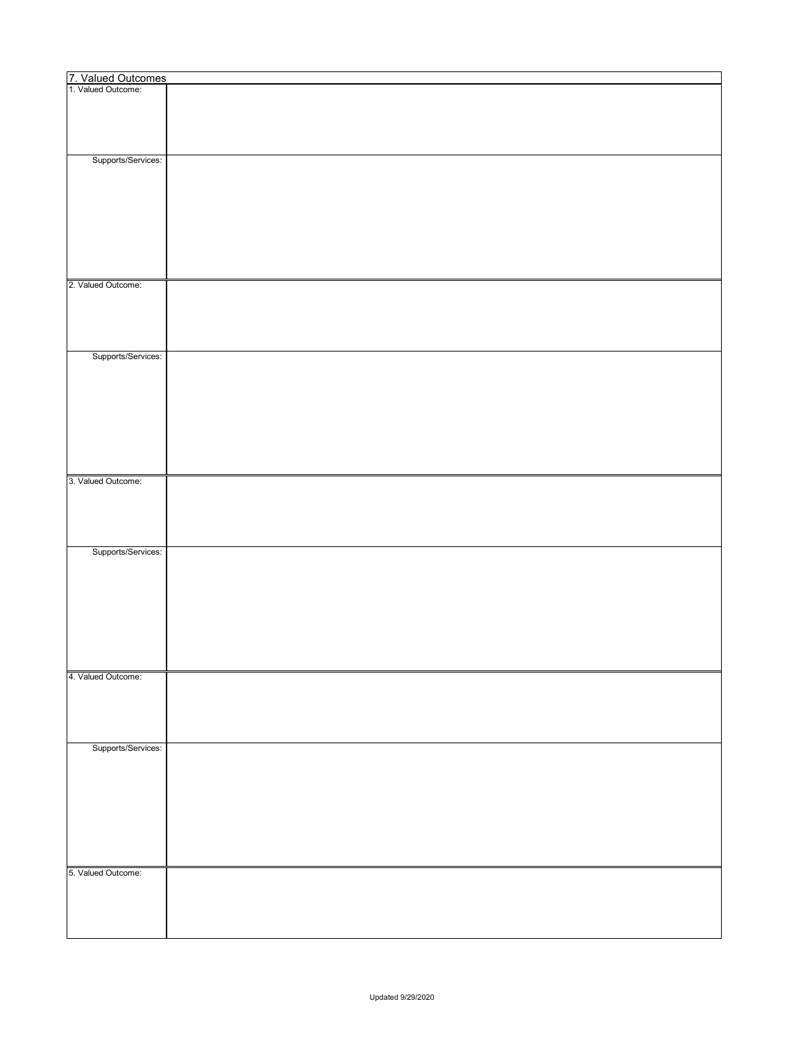| 7. Valued Outcomes<br>1. Valued Outcome: |  |
|------------------------------------------|--|
|                                          |  |
|                                          |  |
|                                          |  |
|                                          |  |
|                                          |  |
|                                          |  |
| Supports/Services:                       |  |
|                                          |  |
|                                          |  |
|                                          |  |
|                                          |  |
|                                          |  |
|                                          |  |
|                                          |  |
|                                          |  |
|                                          |  |
|                                          |  |
|                                          |  |
|                                          |  |
| 2. Valued Outcome:                       |  |
|                                          |  |
|                                          |  |
|                                          |  |
|                                          |  |
|                                          |  |
|                                          |  |
| Supports/Services:                       |  |
|                                          |  |
|                                          |  |
|                                          |  |
|                                          |  |
|                                          |  |
|                                          |  |
|                                          |  |
|                                          |  |
|                                          |  |
|                                          |  |
|                                          |  |
| 3. Valued Outcome:                       |  |
|                                          |  |
|                                          |  |
|                                          |  |
|                                          |  |
|                                          |  |
|                                          |  |
| Supports/Services:                       |  |
|                                          |  |
|                                          |  |
|                                          |  |
|                                          |  |
|                                          |  |
|                                          |  |
|                                          |  |
|                                          |  |
|                                          |  |
|                                          |  |
|                                          |  |
| 4. Valued Outcome:                       |  |
|                                          |  |
|                                          |  |
|                                          |  |
|                                          |  |
|                                          |  |
|                                          |  |
| Supports/Services:                       |  |
|                                          |  |
|                                          |  |
|                                          |  |
|                                          |  |
|                                          |  |
|                                          |  |
|                                          |  |
|                                          |  |
|                                          |  |
|                                          |  |
|                                          |  |
| 5. Valued Outcome:                       |  |
|                                          |  |
|                                          |  |
|                                          |  |
|                                          |  |
|                                          |  |
|                                          |  |
|                                          |  |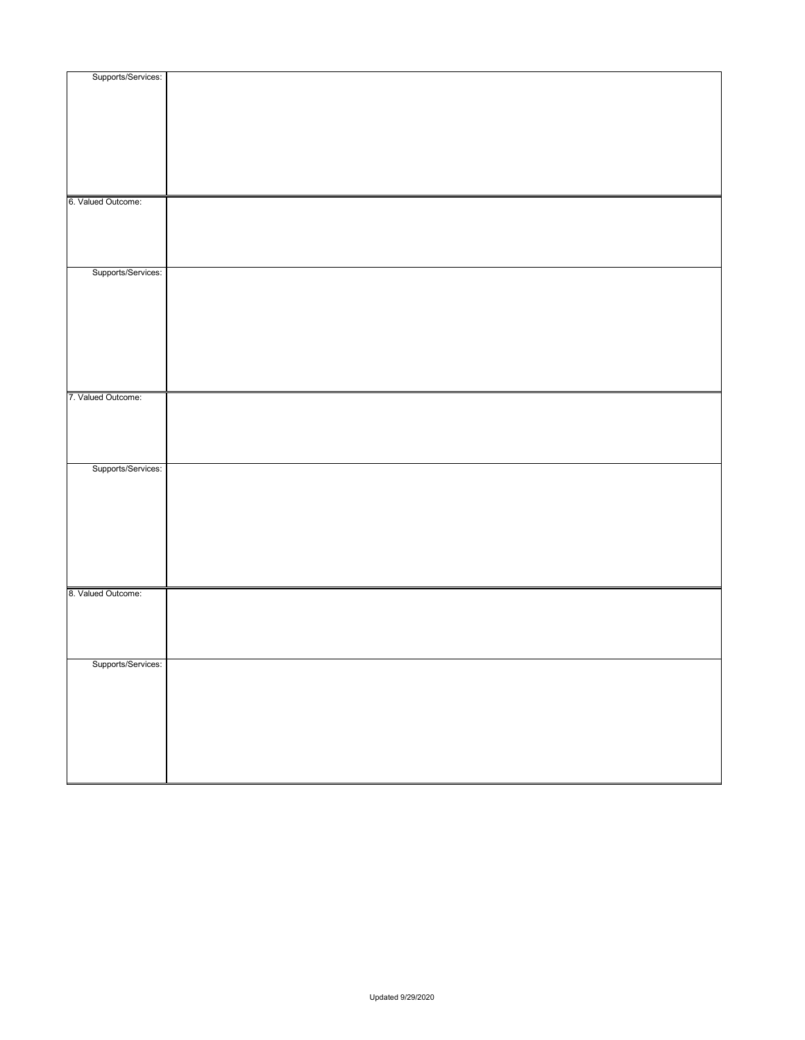| Supports/Services: |  |
|--------------------|--|
|                    |  |
|                    |  |
|                    |  |
|                    |  |
|                    |  |
|                    |  |
|                    |  |
|                    |  |
|                    |  |
| 6. Valued Outcome: |  |
|                    |  |
|                    |  |
|                    |  |
|                    |  |
| Supports/Services: |  |
|                    |  |
|                    |  |
|                    |  |
|                    |  |
|                    |  |
|                    |  |
|                    |  |
|                    |  |
| 7. Valued Outcome: |  |
|                    |  |
|                    |  |
|                    |  |
|                    |  |
|                    |  |
| Supports/Services: |  |
|                    |  |
|                    |  |
|                    |  |
|                    |  |
|                    |  |
|                    |  |
|                    |  |
|                    |  |
| 8. Valued Outcome: |  |
|                    |  |
|                    |  |
|                    |  |
|                    |  |
| Supports/Services: |  |
|                    |  |
|                    |  |
|                    |  |
|                    |  |
|                    |  |
|                    |  |
|                    |  |
|                    |  |
|                    |  |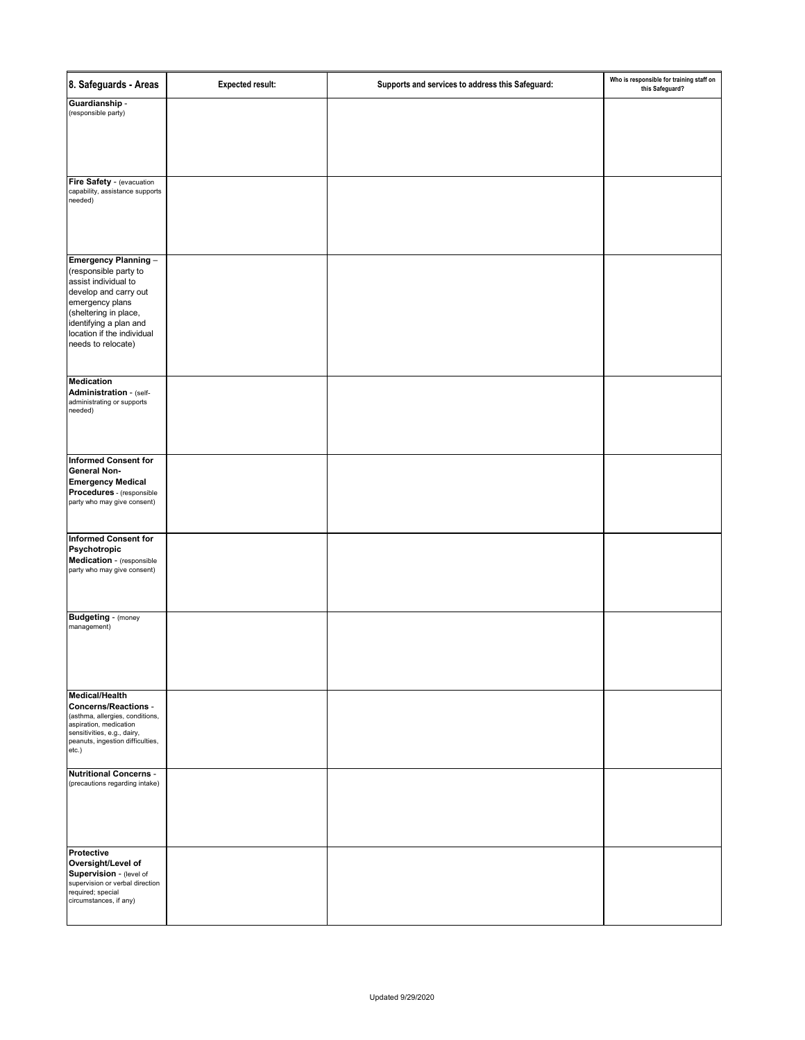| 8. Safeguards - Areas                                                                                                                                                                                                    | <b>Expected result:</b> | Supports and services to address this Safeguard: | Who is responsible for training staff on<br>this Safeguard? |
|--------------------------------------------------------------------------------------------------------------------------------------------------------------------------------------------------------------------------|-------------------------|--------------------------------------------------|-------------------------------------------------------------|
| Guardianship -<br>(responsible party)                                                                                                                                                                                    |                         |                                                  |                                                             |
| Fire Safety - (evacuation<br>capability, assistance supports<br>needed)                                                                                                                                                  |                         |                                                  |                                                             |
| Emergency Planning -<br>(responsible party to<br>assist individual to<br>develop and carry out<br>emergency plans<br>(sheltering in place,<br>identifying a plan and<br>location if the individual<br>needs to relocate) |                         |                                                  |                                                             |
| <b>Medication</b><br>Administration - (self-<br>administrating or supports<br>needed)                                                                                                                                    |                         |                                                  |                                                             |
| <b>Informed Consent for</b><br><b>General Non-</b><br><b>Emergency Medical</b><br>Procedures - (responsible<br>party who may give consent)                                                                               |                         |                                                  |                                                             |
| <b>Informed Consent for</b><br>Psychotropic<br>Medication - (responsible<br>party who may give consent)                                                                                                                  |                         |                                                  |                                                             |
| <b>Budgeting - (money</b><br>management)                                                                                                                                                                                 |                         |                                                  |                                                             |
| Medical/Health<br><b>Concerns/Reactions -</b><br>(asthma, allergies, conditions,<br>aspiration, medication<br>sensitivities, e.g., dairy,<br>peanuts, ingestion difficulties,<br>etc.)                                   |                         |                                                  |                                                             |
| <b>Nutritional Concerns -</b><br>(precautions regarding intake)                                                                                                                                                          |                         |                                                  |                                                             |
| Protective<br>Oversight/Level of<br>Supervision - (level of<br>supervision or verbal direction<br>required; special<br>circumstances, if any)                                                                            |                         |                                                  |                                                             |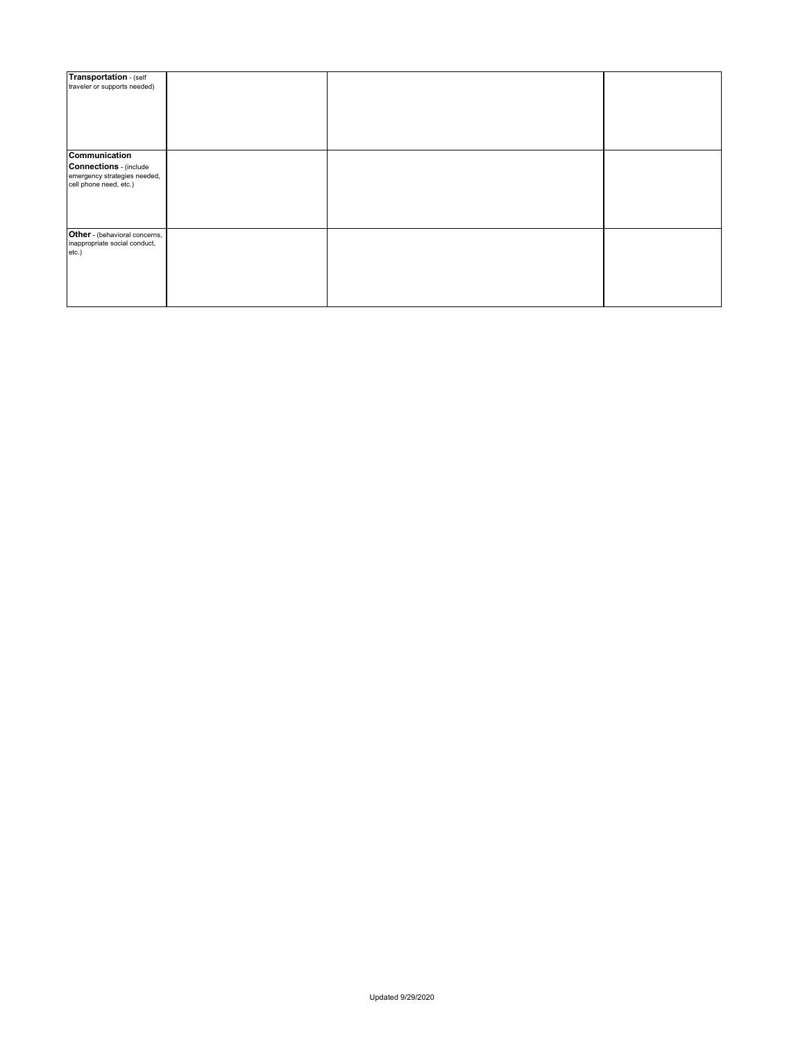| Transportation - (self<br>traveler or supports needed)                                                   |  |  |
|----------------------------------------------------------------------------------------------------------|--|--|
|                                                                                                          |  |  |
| Communication<br><b>Connections</b> - (include<br>emergency strategies needed,<br>cell phone need, etc.) |  |  |
| Other - (behavioral concerns,<br>inappropriate social conduct,<br>etc.)                                  |  |  |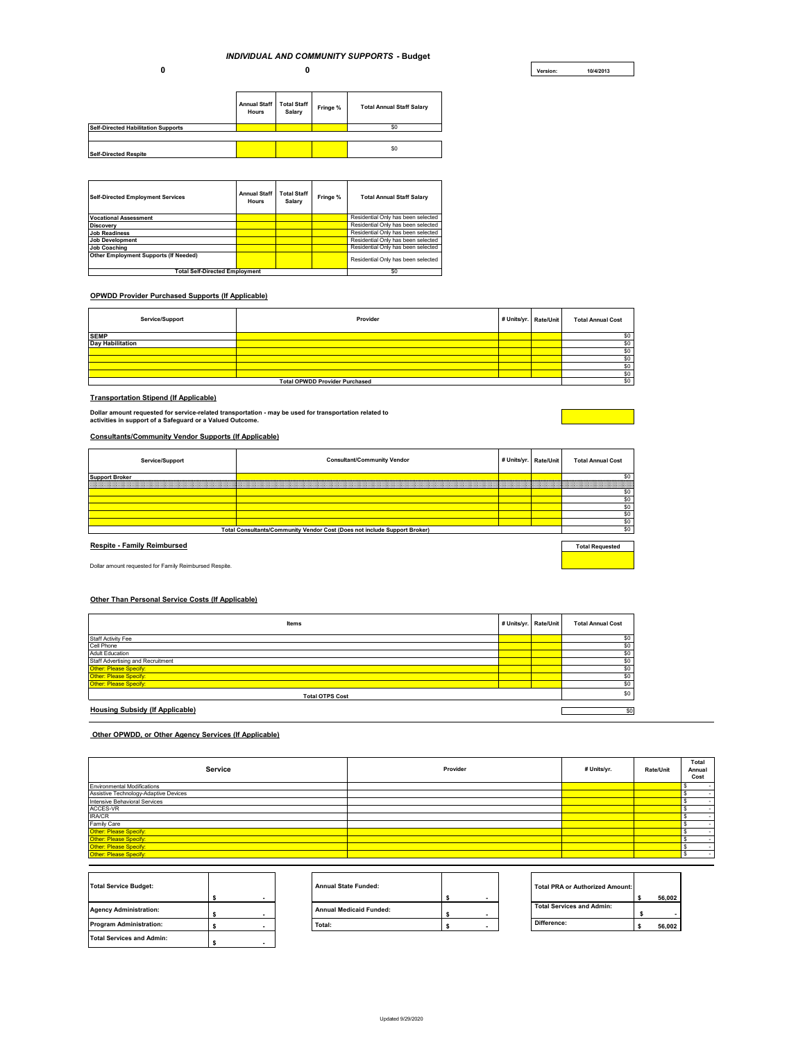**0** 

**Version: 10/4/2013**

|                                            | Annual Staff<br>Hours | <b>Total Staff</b><br>Salary | Fringe % | <b>Total Annual Staff Salary</b> |
|--------------------------------------------|-----------------------|------------------------------|----------|----------------------------------|
| <b>Self-Directed Habilitation Supports</b> |                       |                              |          | \$0                              |
|                                            |                       |                              |          |                                  |
| <b>Self-Directed Respite</b>               |                       |                              |          | \$0                              |

| <b>Self-Directed Employment Services</b> | <b>Annual Staff</b><br><b>Hours</b> | <b>Total Staff</b><br>Salary | Fringe % | <b>Total Annual Staff Salary</b>   |
|------------------------------------------|-------------------------------------|------------------------------|----------|------------------------------------|
| <b>Vocational Assessment</b>             |                                     |                              |          | Residential Only has been selected |
| <b>Discovery</b>                         |                                     |                              |          | Residential Only has been selected |
| <b>Job Readiness</b>                     |                                     |                              |          | Residential Only has been selected |
| <b>Job Development</b>                   |                                     |                              |          | Residential Only has been selected |
| <b>Job Coaching</b>                      |                                     |                              |          | Residential Only has been selected |
| Other Employment Supports (If Needed)    |                                     |                              |          | Residential Only has been selected |
| <b>Total Self-Directed Employment</b>    |                                     |                              |          | \$0                                |

#### **OPWDD Provider Purchased Supports (If Applicable)**

**0**

| Service/Support         | Provider                              | # Units/yr. Rate/Unit |  | <b>Total Annual Cost</b> |  |
|-------------------------|---------------------------------------|-----------------------|--|--------------------------|--|
| <b>SEMP</b>             |                                       |                       |  | \$O                      |  |
| <b>Dav Habilitation</b> |                                       |                       |  | \$0                      |  |
|                         |                                       |                       |  | \$0                      |  |
|                         |                                       |                       |  | \$0                      |  |
|                         |                                       |                       |  | \$0                      |  |
|                         |                                       |                       |  | \$0                      |  |
|                         | <b>Total OPWDD Provider Purchased</b> |                       |  |                          |  |

#### **Transportation Stipend (If Applicable)**

**Dollar amount requested for service-related transportation - may be used for transportation related to activities in support of a Safeguard or a Valued Outcome.**

#### **Consultants/Community Vendor Supports (If Applicable)**

| Service/Support                    | <b>Consultant/Community Vendor</b>                                        | # Units/yr.   Rate/Unit | <b>Total Annual Cost</b> |
|------------------------------------|---------------------------------------------------------------------------|-------------------------|--------------------------|
| <b>Support Broker</b>              |                                                                           |                         | \$0                      |
|                                    |                                                                           |                         |                          |
|                                    |                                                                           |                         | \$O                      |
|                                    |                                                                           |                         | \$O                      |
|                                    |                                                                           |                         | \$0                      |
|                                    |                                                                           |                         | \$0                      |
|                                    |                                                                           |                         | \$O                      |
|                                    | Total Consultants/Community Vendor Cost (Does not include Support Broker) |                         | \$O                      |
|                                    |                                                                           |                         |                          |
| <b>Respite - Family Reimbursed</b> |                                                                           |                         | <b>Total Requested</b>   |
|                                    |                                                                           |                         |                          |

Dollar amount requested for Family Reimbursed Respite. \$0

#### **Other Than Personal Service Costs (If Applicable)**

| Items                             | # Units/yr. Rate/Unit |  | <b>Total Annual Cost</b> |
|-----------------------------------|-----------------------|--|--------------------------|
| Staff Activity Fee                |                       |  | \$0                      |
| Cell Phone                        |                       |  | \$0                      |
| <b>Adult Education</b>            |                       |  | \$0                      |
| Staff Advertising and Recruitment |                       |  | \$0                      |
| Other: Please Specify:            |                       |  | \$0                      |
| Other: Please Specify:            |                       |  | \$0                      |
| Other: Please Specify:            |                       |  | \$0                      |
| <b>Total OTPS Cost</b>            |                       |  |                          |
| Housing Subsidy (If Applicable)   |                       |  | \$0                      |

#### **Other OPWDD, or Other Agency Services (If Applicable)**

| Service                               | Provider | # Units/yr. | Rate/Unit | Total<br>Annual<br>Cost |
|---------------------------------------|----------|-------------|-----------|-------------------------|
| <b>Environmental Modifications</b>    |          |             |           |                         |
| Assistive Technology-Adaptive Devices |          |             |           |                         |
| Intensive Behavioral Services         |          |             |           |                         |
| ACCES-VR                              |          |             |           |                         |
| <b>IRA/CR</b>                         |          |             |           |                         |
| Family Care                           |          |             |           |                         |
| Other: Please Specify:                |          |             |           |                         |
| Other: Please Specify:                |          |             |           |                         |
| Other: Please Specify:                |          |             |           |                         |
| Other: Please Specify:                |          |             |           |                         |

| <b>Total Service Budget:</b>     |  |
|----------------------------------|--|
|                                  |  |
| <b>Agency Administration:</b>    |  |
| <b>Program Administration:</b>   |  |
| <b>Total Services and Admin:</b> |  |

| <b>Total Service Budget:</b>  |  | <b>Annual State Funded:</b>    |  | Total PRA or Authorized Amount:  |        |
|-------------------------------|--|--------------------------------|--|----------------------------------|--------|
|                               |  |                                |  |                                  | 56.002 |
| <b>Agency Administration:</b> |  | <b>Annual Medicaid Funded:</b> |  | <b>Total Services and Admin:</b> |        |
| Program Administration:       |  | Total:                         |  | Difference:                      | 56.002 |
|                               |  |                                |  |                                  |        |

| <b>Total PRA or Authorized Amount:</b> |        |
|----------------------------------------|--------|
|                                        | 56,002 |
| <b>Total Services and Admin:</b>       |        |
|                                        |        |
| Difference:                            | 56.002 |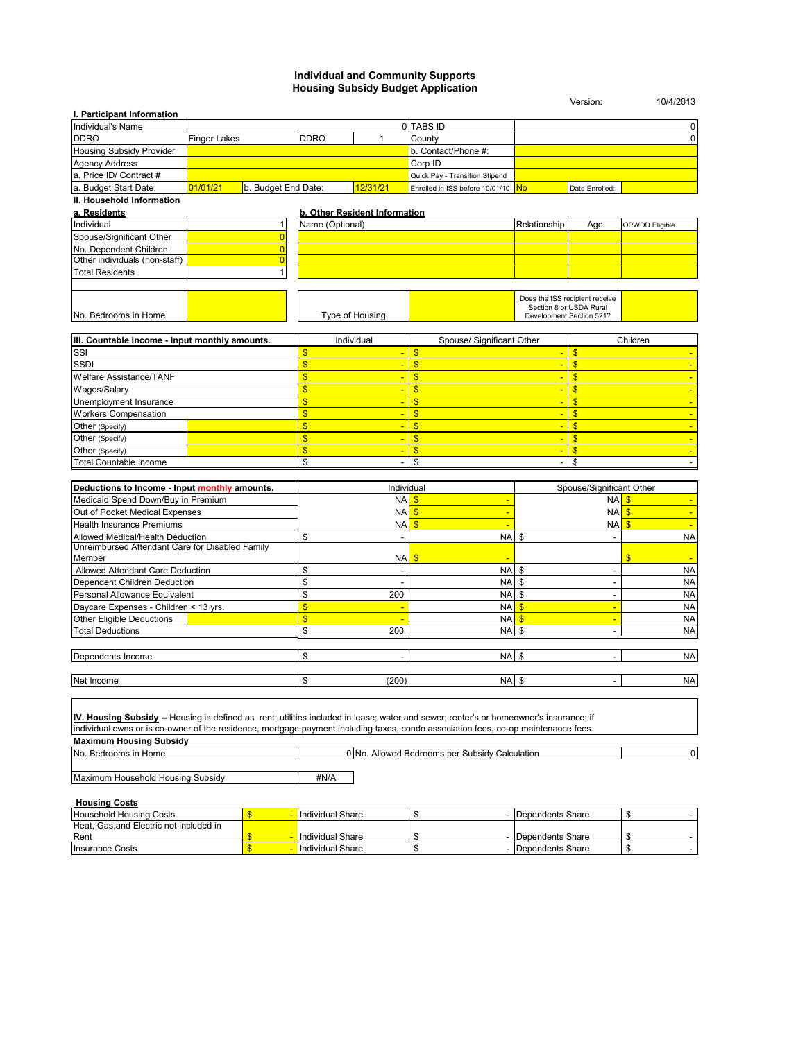#### **Individual and Community Supports Housing Subsidy Budget Application**

|                                                                                                                                                                                                                                                                              |                     |                                  |                         |                               |                                                |                           | Version:                                                  | 10/4/2013           |
|------------------------------------------------------------------------------------------------------------------------------------------------------------------------------------------------------------------------------------------------------------------------------|---------------------|----------------------------------|-------------------------|-------------------------------|------------------------------------------------|---------------------------|-----------------------------------------------------------|---------------------|
| I. Participant Information                                                                                                                                                                                                                                                   |                     |                                  |                         |                               |                                                |                           |                                                           |                     |
| Individual's Name<br><b>DDRO</b>                                                                                                                                                                                                                                             |                     |                                  |                         |                               | 0 TABS ID                                      |                           |                                                           | 0<br>$\overline{0}$ |
| Housing Subsidy Provider                                                                                                                                                                                                                                                     | <b>Finger Lakes</b> |                                  | <b>DDRO</b>             | $\mathbf{1}$                  | County                                         |                           |                                                           |                     |
|                                                                                                                                                                                                                                                                              |                     |                                  |                         |                               | b. Contact/Phone #:                            |                           |                                                           |                     |
| <b>Agency Address</b>                                                                                                                                                                                                                                                        |                     |                                  |                         |                               | Corp ID                                        |                           |                                                           |                     |
| a. Price ID/ Contract #<br>a. Budget Start Date:                                                                                                                                                                                                                             |                     |                                  |                         | 12/31/21                      | Quick Pay - Transition Stipend                 |                           |                                                           |                     |
|                                                                                                                                                                                                                                                                              | 01/01/21            | b. Budget End Date:              |                         |                               | Enrolled in ISS before 10/01/10                | <b>No</b>                 | Date Enrolled:                                            |                     |
| II. Household Information                                                                                                                                                                                                                                                    |                     |                                  |                         |                               |                                                |                           |                                                           |                     |
| a. Residents                                                                                                                                                                                                                                                                 |                     | $\mathbf{1}$                     |                         | b. Other Resident Information |                                                |                           |                                                           |                     |
| Individual<br>Spouse/Significant Other                                                                                                                                                                                                                                       |                     |                                  | Name (Optional)         |                               |                                                | Relationship              | Age                                                       | OPWDD Eligible      |
| No. Dependent Children                                                                                                                                                                                                                                                       |                     | $\overline{0}$<br>$\overline{0}$ |                         |                               |                                                |                           |                                                           |                     |
| Other individuals (non-staff)                                                                                                                                                                                                                                                |                     | $\overline{0}$                   |                         |                               |                                                |                           |                                                           |                     |
| <b>Total Residents</b>                                                                                                                                                                                                                                                       |                     | 1                                |                         |                               |                                                |                           |                                                           |                     |
|                                                                                                                                                                                                                                                                              |                     |                                  |                         |                               |                                                |                           |                                                           |                     |
| No. Bedrooms in Home                                                                                                                                                                                                                                                         |                     |                                  |                         | Type of Housing               |                                                | Development Section 521?  | Does the ISS recipient receive<br>Section 8 or USDA Rural |                     |
|                                                                                                                                                                                                                                                                              |                     |                                  |                         |                               |                                                |                           |                                                           |                     |
| III. Countable Income - Input monthly amounts.<br>SSI                                                                                                                                                                                                                        |                     |                                  | \$                      | Individual                    | Spouse/ Significant Other<br>\$                | $\blacksquare$            | $\frac{1}{2}$                                             | Children            |
| SSDI                                                                                                                                                                                                                                                                         |                     |                                  | $\overline{\mathbb{S}}$ | $\blacksquare$                | $\overline{\mathbf{s}}$                        | $\blacksquare$            | $\overline{\mathbf{S}}$                                   |                     |
| Welfare Assistance/TANF                                                                                                                                                                                                                                                      |                     |                                  | $\overline{\mathbf{s}}$ | $\blacksquare$                | \$                                             | $\blacksquare$            | $\mathsf{\$}$                                             |                     |
| Wages/Salary                                                                                                                                                                                                                                                                 |                     |                                  | $\overline{\mathbf{s}}$ | $\blacksquare$                | $\mathbf{\$}$                                  | $\blacksquare$            | $\mathsf{\$}$                                             |                     |
| Unemployment Insurance                                                                                                                                                                                                                                                       |                     |                                  | \$                      |                               | \$                                             | $\blacksquare$            | $\mathsf{\$}$                                             |                     |
| <b>Workers Compensation</b>                                                                                                                                                                                                                                                  |                     |                                  | \$                      | $\blacksquare$                | \$                                             | $\blacksquare$            | $\mathsf{\$}$                                             |                     |
| Other (Specify)                                                                                                                                                                                                                                                              |                     |                                  | $\mathsf{\$}$           | $\blacksquare$                | \$                                             | $\blacksquare$            | $\mathsf{\$}$                                             | ÷                   |
| Other (Specify)                                                                                                                                                                                                                                                              |                     |                                  | $\overline{\mathbf{S}}$ | $\blacksquare$                | $\boldsymbol{\mathsf{s}}$                      | $\blacksquare$            | $\overline{\mathbf{s}}$                                   |                     |
| Other (Specify)                                                                                                                                                                                                                                                              |                     |                                  | $\mathsf{\$}$           | $\mathbb{Z}$                  | $\mathbf{\$}$                                  | $\blacksquare$            | $\sqrt{3}$                                                |                     |
| <b>Total Countable Income</b>                                                                                                                                                                                                                                                |                     |                                  | \$                      | $\overline{a}$                | \$                                             | ÷,                        | \$                                                        |                     |
|                                                                                                                                                                                                                                                                              |                     |                                  |                         |                               |                                                |                           |                                                           |                     |
| Deductions to Income - Input monthly amounts.                                                                                                                                                                                                                                |                     |                                  |                         | Individual                    |                                                |                           | Spouse/Significant Other                                  |                     |
| Medicaid Spend Down/Buy in Premium                                                                                                                                                                                                                                           |                     |                                  |                         | <b>NA</b>                     | $\mathbf{\$}$                                  |                           | <b>NA</b>                                                 | $\mathbf{s}$        |
| Out of Pocket Medical Expenses                                                                                                                                                                                                                                               |                     |                                  |                         | <b>NA</b>                     | $\frac{1}{2}$                                  |                           | <b>NA</b>                                                 | $\sqrt{3}$          |
| Health Insurance Premiums                                                                                                                                                                                                                                                    |                     |                                  |                         | NA                            | \$                                             |                           | <b>NA</b>                                                 | \$                  |
| Allowed Medical/Health Deduction                                                                                                                                                                                                                                             |                     |                                  | \$                      | $\blacksquare$                | N <sub>A</sub>                                 | \$                        | $\overline{a}$                                            | <b>NA</b>           |
| Unreimbursed Attendant Care for Disabled Family                                                                                                                                                                                                                              |                     |                                  |                         |                               |                                                |                           |                                                           |                     |
| Member                                                                                                                                                                                                                                                                       |                     |                                  |                         | NA                            | \$                                             |                           |                                                           | \$                  |
| Allowed Attendant Care Deduction                                                                                                                                                                                                                                             |                     |                                  | \$                      |                               | <b>NA</b>                                      | \$                        | $\overline{\phantom{a}}$                                  | <b>NA</b>           |
| Dependent Children Deduction                                                                                                                                                                                                                                                 |                     |                                  | \$                      |                               | <b>NA</b>                                      | \$                        | $\overline{\phantom{a}}$                                  | <b>NA</b>           |
| Personal Allowance Equivalent                                                                                                                                                                                                                                                |                     |                                  | \$                      | 200                           | <b>NA</b>                                      | \$                        | $\overline{a}$                                            | <b>NA</b>           |
| Daycare Expenses - Children < 13 yrs.                                                                                                                                                                                                                                        |                     |                                  | $\overline{\mathbf{S}}$ |                               | <b>NA</b>                                      | $\overline{\mathbf{S}}$   | $\blacksquare$                                            | <b>NA</b>           |
| <b>Other Eligible Deductions</b>                                                                                                                                                                                                                                             |                     |                                  | $\overline{\mathbf{S}}$ |                               | <b>NA</b>                                      | $\boldsymbol{\mathsf{s}}$ | ÷                                                         | <b>NA</b>           |
| <b>Total Deductions</b>                                                                                                                                                                                                                                                      |                     |                                  | \$                      | 200                           | <b>NA</b>                                      | \$                        | $\overline{\phantom{a}}$                                  | <b>NA</b>           |
|                                                                                                                                                                                                                                                                              |                     |                                  |                         |                               |                                                |                           |                                                           |                     |
| Dependents Income                                                                                                                                                                                                                                                            |                     |                                  | \$                      | $\overline{\phantom{a}}$      | <b>NA \$</b>                                   |                           |                                                           | <b>NA</b>           |
|                                                                                                                                                                                                                                                                              |                     |                                  |                         |                               |                                                |                           |                                                           |                     |
| Net Income                                                                                                                                                                                                                                                                   |                     |                                  | \$                      | (200)                         | <b>NA \$</b>                                   |                           |                                                           | <b>NA</b>           |
| IV. Housing Subsidy -- Housing is defined as rent; utilities included in lease; water and sewer; renter's or homeowner's insurance; if<br>individual owns or is co-owner of the residence, mortgage payment including taxes, condo association fees, co-op maintenance fees. |                     |                                  |                         |                               |                                                |                           |                                                           |                     |
| <b>Maximum Housing Subsidy</b>                                                                                                                                                                                                                                               |                     |                                  |                         |                               |                                                |                           |                                                           |                     |
| No. Bedrooms in Home                                                                                                                                                                                                                                                         |                     |                                  |                         |                               | 0 No. Allowed Bedrooms per Subsidy Calculation |                           |                                                           | $\pmb{0}$           |
| Maximum Household Housing Subsidy                                                                                                                                                                                                                                            |                     |                                  | #N/A                    |                               |                                                |                           |                                                           |                     |
|                                                                                                                                                                                                                                                                              |                     |                                  |                         |                               |                                                |                           |                                                           |                     |
| <b>Housing Costs</b><br><b>Household Housing Costs</b>                                                                                                                                                                                                                       |                     | \$                               | <b>Individual Share</b> |                               | \$                                             | Dependents Share          |                                                           | \$                  |
| Heat, Gas, and Electric not included in                                                                                                                                                                                                                                      |                     |                                  |                         |                               |                                                |                           |                                                           |                     |
| Rent                                                                                                                                                                                                                                                                         |                     | $\frac{1}{2}$                    | - Individual Share      |                               | \$                                             | Dependents Share          |                                                           | \$                  |

Insurance Costs <mark>\$ - |</mark>Individual Share | \$ - |Dependents Share | \$ -

**I**S **Dependents Share**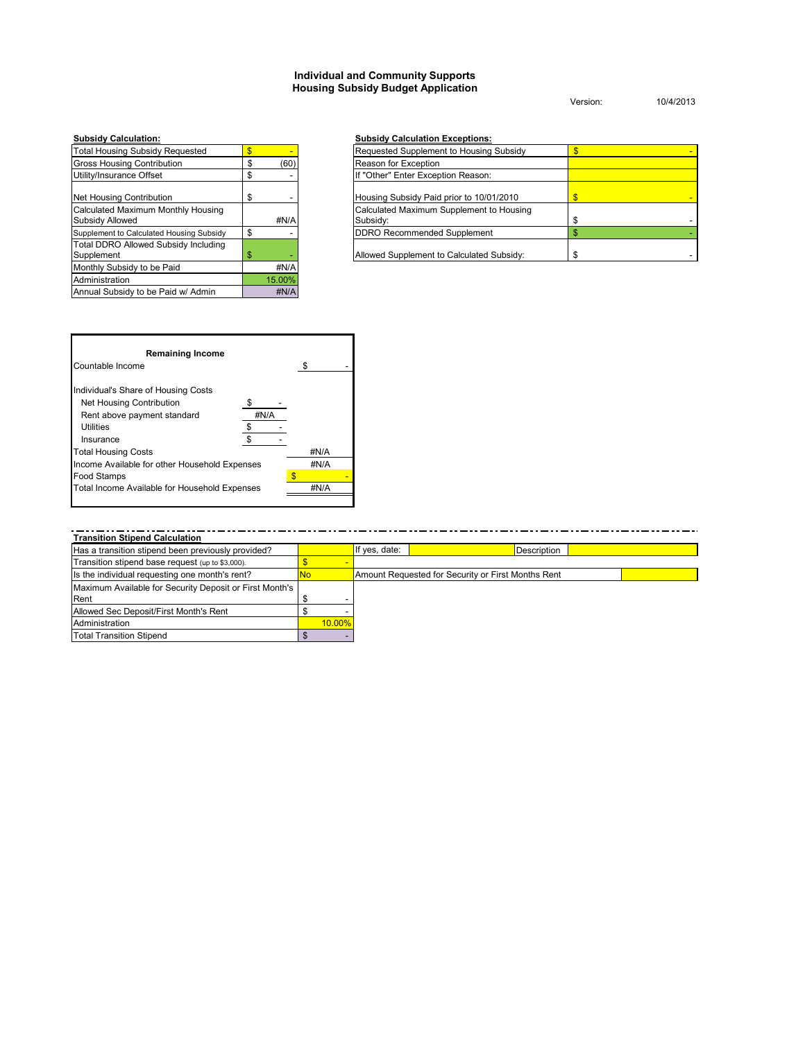#### **Individual and Community Supports Housing Subsidy Budget Application**

Version: 10/4/2013

| <b>Total Housing Subsidy Requested</b>                    | \$        |
|-----------------------------------------------------------|-----------|
| <b>Gross Housing Contribution</b>                         | \$<br>(60 |
| Utility/Insurance Offset                                  | \$        |
| Net Housing Contribution                                  | \$        |
| Calculated Maximum Monthly Housing<br>Subsidy Allowed     | #N/A      |
| Supplement to Calculated Housing Subsidy                  | \$        |
| <b>Total DDRO Allowed Subsidy Including</b><br>Supplement | \$        |
| Monthly Subsidy to be Paid                                | #N/A      |
| Administration                                            | 15.00%    |
| Annual Subsidy to be Paid w/ Admin                        | #N/A      |

#### **Subsidy Calculation: Subsidy Calculation Exceptions:**

|            | Requested Supplement to Housing Subsidy              |  |
|------------|------------------------------------------------------|--|
| \$<br>(60) | Reason for Exception                                 |  |
| \$         | If "Other" Enter Exception Reason:                   |  |
| \$         | Housing Subsidy Paid prior to 10/01/2010             |  |
| #N/A       | Calculated Maximum Supplement to Housing<br>Subsidy: |  |
|            | <b>DDRO</b> Recommended Supplement                   |  |
| \$<br>     | Allowed Supplement to Calculated Subsidy:            |  |



**Transition Stipend Calculation** If yes, date: **Description**  $\frac{\textstyle \textcircled{\textstyle s}}{\textstyle \textcircled{\textstyle s}}$  -No  $\degree$  - $\degree$  -10.00%  $\overline{\mathcal{S}}$ Transition stipend base request (up to \$3,000). Amount Requested for Security or First Months Rent Maximum Available for Security Deposit or First Month's Rent Is the individual requesting one month's rent? Has a transition stipend been previously provided? Total Transition Stipend Allowed Sec Deposit/First Month's Rent Administration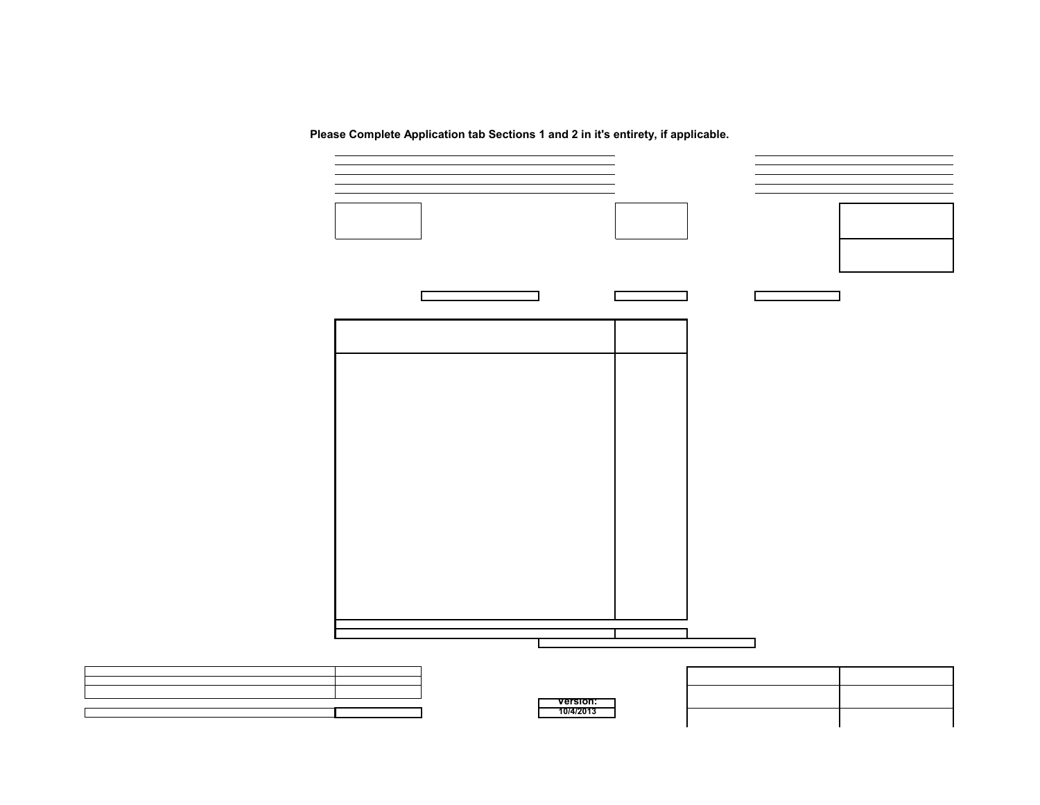**Please Complete Application tab Sections 1 and 2 in it's entirety, if applicable.**